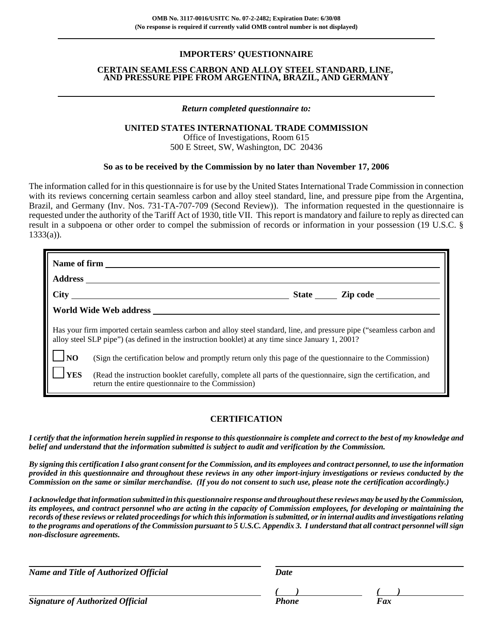## **IMPORTERS' QUESTIONNAIRE**

#### **CERTAIN SEAMLESS CARBON AND ALLOY STEEL STANDARD, LINE, AND PRESSURE PIPE FROM ARGENTINA, BRAZIL, AND GERMANY**

### *Return completed questionnaire to:*

## **UNITED STATES INTERNATIONAL TRADE COMMISSION**

Office of Investigations, Room 615 500 E Street, SW, Washington, DC 20436

## **So as to be received by the Commission by no later than November 17, 2006**

The information called for in this questionnaire is for use by the United States International Trade Commission in connection with its reviews concerning certain seamless carbon and alloy steel standard, line, and pressure pipe from the Argentina, Brazil, and Germany (Inv. Nos. 731-TA-707-709 (Second Review)). The information requested in the questionnaire is requested under the authority of the Tariff Act of 1930, title VII. This report is mandatory and failure to reply as directed can result in a subpoena or other order to compel the submission of records or information in your possession (19 U.S.C. §  $1333(a)$ ).

| Name of firm   |                                                                                                                                                                                                                             |  |  |  |  |  |  |  |
|----------------|-----------------------------------------------------------------------------------------------------------------------------------------------------------------------------------------------------------------------------|--|--|--|--|--|--|--|
|                |                                                                                                                                                                                                                             |  |  |  |  |  |  |  |
|                | $\frac{City}{1}$                                                                                                                                                                                                            |  |  |  |  |  |  |  |
|                |                                                                                                                                                                                                                             |  |  |  |  |  |  |  |
|                | Has your firm imported certain seamless carbon and alloy steel standard, line, and pressure pipe ("seamless carbon and<br>alloy steel SLP pipe") (as defined in the instruction booklet) at any time since January 1, 2001? |  |  |  |  |  |  |  |
| N <sub>O</sub> | (Sign the certification below and promptly return only this page of the questionnaire to the Commission)                                                                                                                    |  |  |  |  |  |  |  |
| <b>YES</b>     | (Read the instruction booklet carefully, complete all parts of the questionnaire, sign the certification, and<br>return the entire questionnaire to the Commission)                                                         |  |  |  |  |  |  |  |

## **CERTIFICATION**

*I certify that the information herein supplied in response to this questionnaire is complete and correct to the best of my knowledge and belief and understand that the information submitted is subject to audit and verification by the Commission.*

*By signing this certification I also grant consent for the Commission, and its employees and contract personnel, to use the information provided in this questionnaire and throughout these reviews in any other import-injury investigations or reviews conducted by the Commission on the same or similar merchandise. (If you do not consent to such use, please note the certification accordingly.)*

*I acknowledge that information submitted in this questionnaire response and throughout these reviews may be used by the Commission, its employees, and contract personnel who are acting in the capacity of Commission employees, for developing or maintaining the records of these reviews or related proceedings for which this information is submitted, or in internal audits and investigations relating to the programs and operations of the Commission pursuant to 5 U.S.C. Appendix 3. I understand that all contract personnel will sign non-disclosure agreements.*

*Name and Title of Authorized Official Date*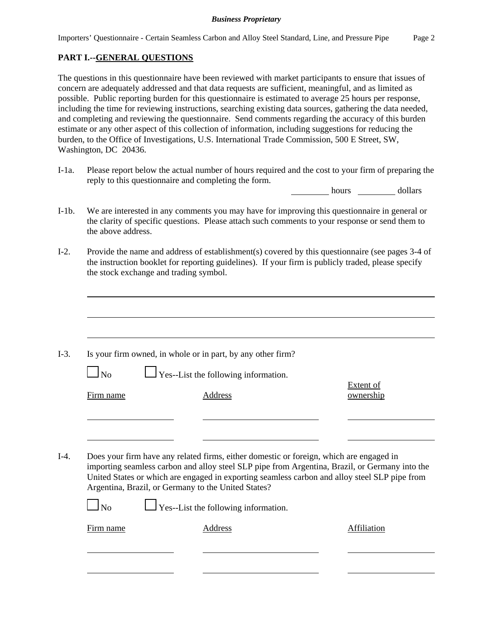# **PART I.--GENERAL QUESTIONS**

The questions in this questionnaire have been reviewed with market participants to ensure that issues of concern are adequately addressed and that data requests are sufficient, meaningful, and as limited as possible. Public reporting burden for this questionnaire is estimated to average 25 hours per response, including the time for reviewing instructions, searching existing data sources, gathering the data needed, and completing and reviewing the questionnaire. Send comments regarding the accuracy of this burden estimate or any other aspect of this collection of information, including suggestions for reducing the burden, to the Office of Investigations, U.S. International Trade Commission, 500 E Street, SW, Washington, DC 20436.

I-1a. Please report below the actual number of hours required and the cost to your firm of preparing the reply to this questionnaire and completing the form.

hours dollars

- I-1b. We are interested in any comments you may have for improving this questionnaire in general or the clarity of specific questions. Please attach such comments to your response or send them to the above address.
- I-2. Provide the name and address of establishment(s) covered by this questionnaire (see pages 3-4 of the instruction booklet for reporting guidelines). If your firm is publicly traded, please specify the stock exchange and trading symbol.

| No        | Is your firm owned, in whole or in part, by any other firm?<br>$\Box$ Yes--List the following information.                                                                                                                                                                                                                                        |                        |
|-----------|---------------------------------------------------------------------------------------------------------------------------------------------------------------------------------------------------------------------------------------------------------------------------------------------------------------------------------------------------|------------------------|
| Firm name | Address                                                                                                                                                                                                                                                                                                                                           | Extent of<br>ownership |
|           |                                                                                                                                                                                                                                                                                                                                                   |                        |
|           |                                                                                                                                                                                                                                                                                                                                                   |                        |
|           | Does your firm have any related firms, either domestic or foreign, which are engaged in<br>importing seamless carbon and alloy steel SLP pipe from Argentina, Brazil, or Germany into the<br>United States or which are engaged in exporting seamless carbon and alloy steel SLP pipe from<br>Argentina, Brazil, or Germany to the United States? |                        |
| No        | $\Box$ Yes--List the following information.                                                                                                                                                                                                                                                                                                       |                        |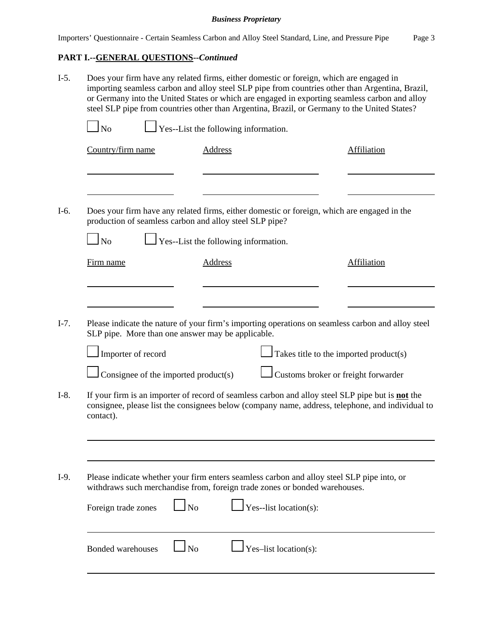# **PART I.--GENERAL QUESTIONS--***Continued*

| $I-5.$           | Does your firm have any related firms, either domestic or foreign, which are engaged in<br>importing seamless carbon and alloy steel SLP pipe from countries other than Argentina, Brazil,<br>or Germany into the United States or which are engaged in exporting seamless carbon and alloy<br>steel SLP pipe from countries other than Argentina, Brazil, or Germany to the United States? |                                                                                           |                                      |                                                                                                                                                                                                                                                                                               |                                                                                                  |  |  |  |
|------------------|---------------------------------------------------------------------------------------------------------------------------------------------------------------------------------------------------------------------------------------------------------------------------------------------------------------------------------------------------------------------------------------------|-------------------------------------------------------------------------------------------|--------------------------------------|-----------------------------------------------------------------------------------------------------------------------------------------------------------------------------------------------------------------------------------------------------------------------------------------------|--------------------------------------------------------------------------------------------------|--|--|--|
|                  | <b>No</b>                                                                                                                                                                                                                                                                                                                                                                                   |                                                                                           |                                      |                                                                                                                                                                                                                                                                                               |                                                                                                  |  |  |  |
|                  | Country/firm name                                                                                                                                                                                                                                                                                                                                                                           |                                                                                           | <b>Address</b>                       |                                                                                                                                                                                                                                                                                               | <b>Affiliation</b>                                                                               |  |  |  |
| $I-6.$           | N <sub>o</sub>                                                                                                                                                                                                                                                                                                                                                                              | production of seamless carbon and alloy steel SLP pipe?                                   | Yes--List the following information. | Does your firm have any related firms, either domestic or foreign, which are engaged in the                                                                                                                                                                                                   |                                                                                                  |  |  |  |
|                  | Firm name                                                                                                                                                                                                                                                                                                                                                                                   |                                                                                           | <b>Address</b>                       |                                                                                                                                                                                                                                                                                               | <b>Affiliation</b>                                                                               |  |  |  |
| $I-7.$<br>$I-8.$ | Importer of record<br>contact).                                                                                                                                                                                                                                                                                                                                                             | SLP pipe. More than one answer may be applicable.<br>Consignee of the imported product(s) |                                      | Please indicate the nature of your firm's importing operations on seamless carbon and alloy steel<br>Takes title to the imported product(s)<br>Customs broker or freight forwarder<br>If your firm is an importer of record of seamless carbon and alloy steel SLP pipe but is <b>not</b> the | consignee, please list the consignees below (company name, address, telephone, and individual to |  |  |  |
| $I-9.$           | Foreign trade zones                                                                                                                                                                                                                                                                                                                                                                         | N <sub>o</sub>                                                                            |                                      | Please indicate whether your firm enters seamless carbon and alloy steel SLP pipe into, or<br>withdraws such merchandise from, foreign trade zones or bonded warehouses.<br>Yes--list location(s):                                                                                            |                                                                                                  |  |  |  |
|                  | Bonded warehouses                                                                                                                                                                                                                                                                                                                                                                           | $\Box$ No                                                                                 |                                      | Yes-list location(s):                                                                                                                                                                                                                                                                         |                                                                                                  |  |  |  |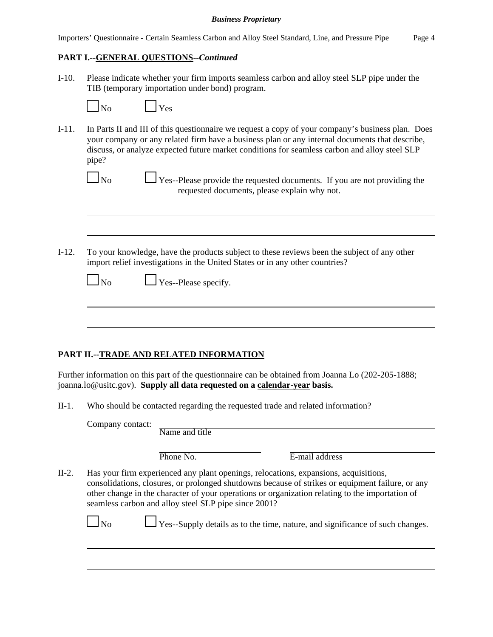|  |  |  |  |  |  | Importers' Questionnaire - Certain Seamless Carbon and Alloy Steel Standard, Line, and Pressure Pipe |  | Page 4 |
|--|--|--|--|--|--|------------------------------------------------------------------------------------------------------|--|--------|
|--|--|--|--|--|--|------------------------------------------------------------------------------------------------------|--|--------|

## **PART I.--GENERAL QUESTIONS--***Continued*

I-10. Please indicate whether your firm imports seamless carbon and alloy steel SLP pipe under the TIB (temporary importation under bond) program.

| No | Yes |
|----|-----|
|----|-----|

I-11. In Parts II and III of this questionnaire we request a copy of your company's business plan. Does your company or any related firm have a business plan or any internal documents that describe, discuss, or analyze expected future market conditions for seamless carbon and alloy steel SLP pipe?

 $\Box$  No  $\Box$  Yes--Please provide the requested documents. If you are not providing the requested documents, please explain why not.

I-12. To your knowledge, have the products subject to these reviews been the subject of any other import relief investigations in the United States or in any other countries?

| Nο |  |
|----|--|
|    |  |

 $\Box$  Yes--Please specify.

# **PART II.--TRADE AND RELATED INFORMATION**

Further information on this part of the questionnaire can be obtained from Joanna Lo (202-205-1888; joanna.lo@usitc.gov). **Supply all data requested on a calendar-year basis.**

II-1. Who should be contacted regarding the requested trade and related information?

|       | Company contact: | Name and title                                       |                                                                                                                                                                                                                                                                                             |
|-------|------------------|------------------------------------------------------|---------------------------------------------------------------------------------------------------------------------------------------------------------------------------------------------------------------------------------------------------------------------------------------------|
|       |                  | Phone No.                                            | E-mail address                                                                                                                                                                                                                                                                              |
| II-2. |                  | seamless carbon and alloy steel SLP pipe since 2001? | Has your firm experienced any plant openings, relocations, expansions, acquisitions,<br>consolidations, closures, or prolonged shutdowns because of strikes or equipment failure, or any<br>other change in the character of your operations or organization relating to the importation of |

 $\Box$  No  $\Box$  Yes--Supply details as to the time, nature, and significance of such changes.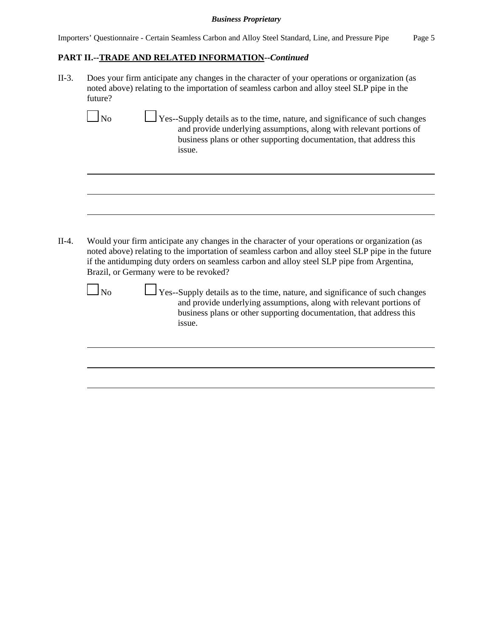## **PART II.--TRADE AND RELATED INFORMATION--***Continued*

II-3. Does your firm anticipate any changes in the character of your operations or organization (as noted above) relating to the importation of seamless carbon and alloy steel SLP pipe in the future?

 $\Box$  No  $\Box$  Yes--Supply details as to the time, nature, and significance of such changes and provide underlying assumptions, along with relevant portions of business plans or other supporting documentation, that address this issue.

II-4. Would your firm anticipate any changes in the character of your operations or organization (as noted above) relating to the importation of seamless carbon and alloy steel SLP pipe in the future if the antidumping duty orders on seamless carbon and alloy steel SLP pipe from Argentina, Brazil, or Germany were to be revoked?

 $\Box$  No  $\Box$  Yes--Supply details as to the time, nature, and significance of such changes and provide underlying assumptions, along with relevant portions of business plans or other supporting documentation, that address this issue.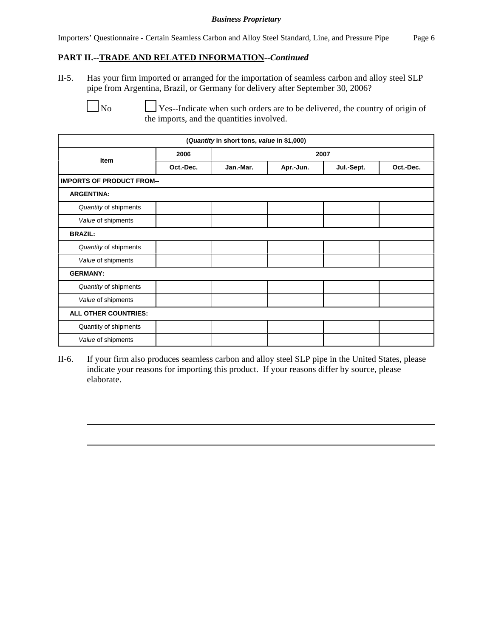## **PART II.--TRADE AND RELATED INFORMATION--***Continued*

II-5. Has your firm imported or arranged for the importation of seamless carbon and alloy steel SLP pipe from Argentina, Brazil, or Germany for delivery after September 30, 2006?

 $\Box$  No  $\Box$  Yes--Indicate when such orders are to be delivered, the country of origin of the imports, and the quantities involved.

| (Quantity in short tons, value in \$1,000) |           |           |           |            |           |  |  |
|--------------------------------------------|-----------|-----------|-----------|------------|-----------|--|--|
| <b>Item</b>                                | 2006      |           | 2007      |            |           |  |  |
|                                            | Oct.-Dec. | Jan.-Mar. | Apr.-Jun. | Jul.-Sept. | Oct.-Dec. |  |  |
| <b>IMPORTS OF PRODUCT FROM--</b>           |           |           |           |            |           |  |  |
| <b>ARGENTINA:</b>                          |           |           |           |            |           |  |  |
| Quantity of shipments                      |           |           |           |            |           |  |  |
| Value of shipments                         |           |           |           |            |           |  |  |
| <b>BRAZIL:</b>                             |           |           |           |            |           |  |  |
| Quantity of shipments                      |           |           |           |            |           |  |  |
| Value of shipments                         |           |           |           |            |           |  |  |
| <b>GERMANY:</b>                            |           |           |           |            |           |  |  |
| Quantity of shipments                      |           |           |           |            |           |  |  |
| Value of shipments                         |           |           |           |            |           |  |  |
| ALL OTHER COUNTRIES:                       |           |           |           |            |           |  |  |
| Quantity of shipments                      |           |           |           |            |           |  |  |
| Value of shipments                         |           |           |           |            |           |  |  |

II-6. If your firm also produces seamless carbon and alloy steel SLP pipe in the United States, please indicate your reasons for importing this product. If your reasons differ by source, please elaborate.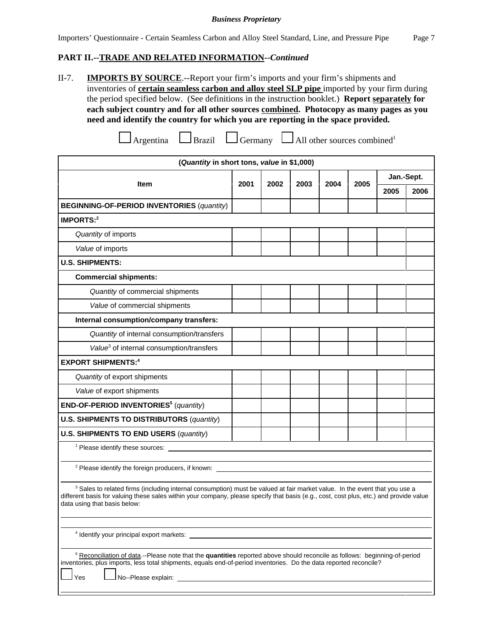## **PART II.--TRADE AND RELATED INFORMATION--***Continued*

II-7. **IMPORTS BY SOURCE**.--Report your firm's imports and your firm's shipments and inventories of **certain seamless carbon and alloy steel SLP pipe** imported by your firm during the period specified below. (See definitions in the instruction booklet.) **Report separately for each subject country and for all other sources combined. Photocopy as many pages as you need and identify the country for which you are reporting in the space provided.**

|  | $\Box$ Argentina | $\Box$ Brazil | $\Box$ Germany |  | $\Box$ All other sources combined |
|--|------------------|---------------|----------------|--|-----------------------------------|
|--|------------------|---------------|----------------|--|-----------------------------------|

| (Quantity in short tons, value in \$1,000)                                                                                                                                                                                                                                                                      |      |      |      |      |      |            |      |
|-----------------------------------------------------------------------------------------------------------------------------------------------------------------------------------------------------------------------------------------------------------------------------------------------------------------|------|------|------|------|------|------------|------|
| <b>Item</b>                                                                                                                                                                                                                                                                                                     | 2001 | 2002 | 2003 | 2004 | 2005 | Jan.-Sept. |      |
|                                                                                                                                                                                                                                                                                                                 |      |      |      |      |      | 2005       | 2006 |
| <b>BEGINNING-OF-PERIOD INVENTORIES (quantity)</b>                                                                                                                                                                                                                                                               |      |      |      |      |      |            |      |
| IMPORTS: $2$                                                                                                                                                                                                                                                                                                    |      |      |      |      |      |            |      |
| Quantity of imports                                                                                                                                                                                                                                                                                             |      |      |      |      |      |            |      |
| Value of imports                                                                                                                                                                                                                                                                                                |      |      |      |      |      |            |      |
| <b>U.S. SHIPMENTS:</b>                                                                                                                                                                                                                                                                                          |      |      |      |      |      |            |      |
| <b>Commercial shipments:</b>                                                                                                                                                                                                                                                                                    |      |      |      |      |      |            |      |
| Quantity of commercial shipments                                                                                                                                                                                                                                                                                |      |      |      |      |      |            |      |
| Value of commercial shipments                                                                                                                                                                                                                                                                                   |      |      |      |      |      |            |      |
| Internal consumption/company transfers:                                                                                                                                                                                                                                                                         |      |      |      |      |      |            |      |
| Quantity of internal consumption/transfers                                                                                                                                                                                                                                                                      |      |      |      |      |      |            |      |
| Value <sup>3</sup> of internal consumption/transfers                                                                                                                                                                                                                                                            |      |      |      |      |      |            |      |
| <b>EXPORT SHIPMENTS:4</b>                                                                                                                                                                                                                                                                                       |      |      |      |      |      |            |      |
| Quantity of export shipments                                                                                                                                                                                                                                                                                    |      |      |      |      |      |            |      |
| Value of export shipments                                                                                                                                                                                                                                                                                       |      |      |      |      |      |            |      |
| END-OF-PERIOD INVENTORIES <sup>5</sup> (quantity)                                                                                                                                                                                                                                                               |      |      |      |      |      |            |      |
| <b>U.S. SHIPMENTS TO DISTRIBUTORS (quantity)</b>                                                                                                                                                                                                                                                                |      |      |      |      |      |            |      |
| <b>U.S. SHIPMENTS TO END USERS (quantity)</b>                                                                                                                                                                                                                                                                   |      |      |      |      |      |            |      |
|                                                                                                                                                                                                                                                                                                                 |      |      |      |      |      |            |      |
| <sup>2</sup> Please identify the foreign producers, if known:                                                                                                                                                                                                                                                   |      |      |      |      |      |            |      |
|                                                                                                                                                                                                                                                                                                                 |      |      |      |      |      |            |      |
| <sup>3</sup> Sales to related firms (including internal consumption) must be valued at fair market value. In the event that you use a<br>different basis for valuing these sales within your company, please specify that basis (e.g., cost, cost plus, etc.) and provide value<br>data using that basis below: |      |      |      |      |      |            |      |
| <sup>4</sup> Identify your principal export markets:                                                                                                                                                                                                                                                            |      |      |      |      |      |            |      |
|                                                                                                                                                                                                                                                                                                                 |      |      |      |      |      |            |      |
| <sup>5</sup> Reconciliation of data.--Please note that the quantities reported above should reconcile as follows: beginning-of-period<br>inventories, plus imports, less total shipments, equals end-of-period inventories. Do the data reported reconcile?<br>Yes                                              |      |      |      |      |      |            |      |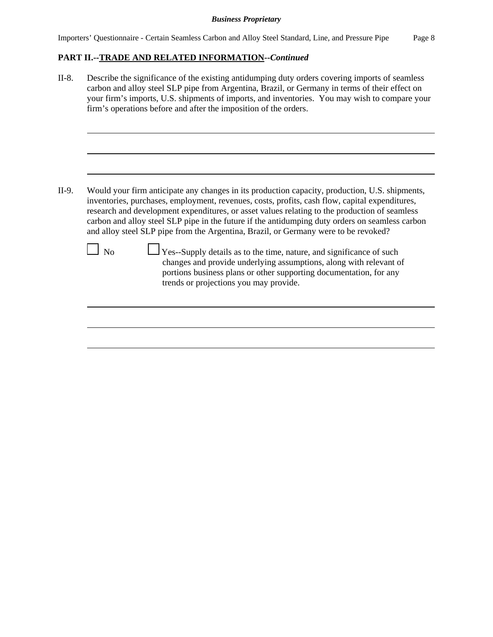# **PART II.--TRADE AND RELATED INFORMATION--***Continued*

II-8. Describe the significance of the existing antidumping duty orders covering imports of seamless carbon and alloy steel SLP pipe from Argentina, Brazil, or Germany in terms of their effect on your firm's imports, U.S. shipments of imports, and inventories. You may wish to compare your firm's operations before and after the imposition of the orders. II-9. Would your firm anticipate any changes in its production capacity, production, U.S. shipments, inventories, purchases, employment, revenues, costs, profits, cash flow, capital expenditures, research and development expenditures, or asset values relating to the production of seamless carbon and alloy steel SLP pipe in the future if the antidumping duty orders on seamless carbon and alloy steel SLP pipe from the Argentina, Brazil, or Germany were to be revoked?  $\Box$  No  $\Box$  Yes--Supply details as to the time, nature, and significance of such changes and provide underlying assumptions, along with relevant of portions business plans or other supporting documentation, for any trends or projections you may provide.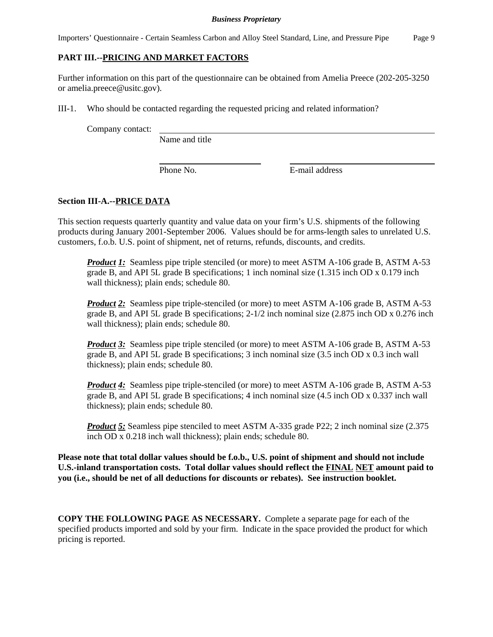Importers' Questionnaire - Certain Seamless Carbon and Alloy Steel Standard, Line, and Pressure Pipe Page 9

# **PART III.--PRICING AND MARKET FACTORS**

Further information on this part of the questionnaire can be obtained from Amelia Preece (202-205-3250 or amelia.preece@usitc.gov).

III-1. Who should be contacted regarding the requested pricing and related information?

Company contact:

Name and title

Phone No. **E**-mail address

# **Section III-A.--PRICE DATA**

This section requests quarterly quantity and value data on your firm's U.S. shipments of the following products during January 2001-September 2006. Values should be for arms-length sales to unrelated U.S. customers, f.o.b. U.S. point of shipment, net of returns, refunds, discounts, and credits.

*Product 1:* Seamless pipe triple stenciled (or more) to meet ASTM A-106 grade B, ASTM A-53 grade B, and API 5L grade B specifications; 1 inch nominal size (1.315 inch OD x 0.179 inch wall thickness); plain ends; schedule 80.

*Product 2:* Seamless pipe triple-stenciled (or more) to meet ASTM A-106 grade B, ASTM A-53 grade B, and API 5L grade B specifications; 2-1/2 inch nominal size (2.875 inch OD x 0.276 inch wall thickness); plain ends; schedule 80.

**Product 3:** Seamless pipe triple stenciled (or more) to meet ASTM A-106 grade B, ASTM A-53 grade B, and API 5L grade B specifications; 3 inch nominal size (3.5 inch OD x 0.3 inch wall thickness); plain ends; schedule 80.

*Product 4*: Seamless pipe triple-stenciled (or more) to meet ASTM A-106 grade B, ASTM A-53 grade B, and API 5L grade B specifications; 4 inch nominal size (4.5 inch OD x 0.337 inch wall thickness); plain ends; schedule 80.

*Product 5:* Seamless pipe stenciled to meet ASTM A-335 grade P22; 2 inch nominal size (2.375) inch OD x 0.218 inch wall thickness); plain ends; schedule 80.

**Please note that total dollar values should be f.o.b., U.S. point of shipment and should not include U.S.-inland transportation costs. Total dollar values should reflect the FINAL NET amount paid to you (i.e., should be net of all deductions for discounts or rebates). See instruction booklet.**

**COPY THE FOLLOWING PAGE AS NECESSARY.** Complete a separate page for each of the specified products imported and sold by your firm. Indicate in the space provided the product for which pricing is reported.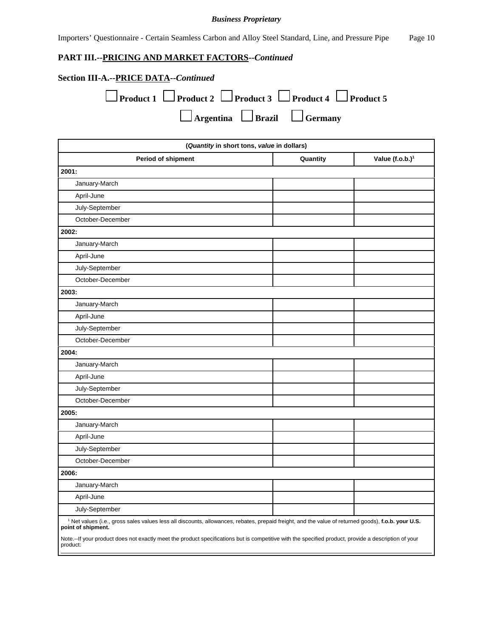Importers' Questionnaire - Certain Seamless Carbon and Alloy Steel Standard, Line, and Pressure Pipe Page 10

# **PART III.--PRICING AND MARKET FACTORS--***Continued*

| <b>Section III-A.--PRICE DATA--Continued</b>                                         |
|--------------------------------------------------------------------------------------|
| $\Box$ Product 1 $\Box$ Product 2 $\Box$ Product 3 $\Box$ Product 4 $\Box$ Product 5 |
| $\Box$ Argentina $\Box$ Brazil $\Box$ Germany                                        |

| (Quantity in short tons, value in dollars)                                                                                                                                           |          |                   |  |  |  |
|--------------------------------------------------------------------------------------------------------------------------------------------------------------------------------------|----------|-------------------|--|--|--|
| <b>Period of shipment</b>                                                                                                                                                            | Quantity | Value $(f.o.b.)1$ |  |  |  |
| 2001:                                                                                                                                                                                |          |                   |  |  |  |
| January-March                                                                                                                                                                        |          |                   |  |  |  |
| April-June                                                                                                                                                                           |          |                   |  |  |  |
| July-September                                                                                                                                                                       |          |                   |  |  |  |
| October-December                                                                                                                                                                     |          |                   |  |  |  |
| 2002:                                                                                                                                                                                |          |                   |  |  |  |
| January-March                                                                                                                                                                        |          |                   |  |  |  |
| April-June                                                                                                                                                                           |          |                   |  |  |  |
| July-September                                                                                                                                                                       |          |                   |  |  |  |
| October-December                                                                                                                                                                     |          |                   |  |  |  |
| 2003:                                                                                                                                                                                |          |                   |  |  |  |
| January-March                                                                                                                                                                        |          |                   |  |  |  |
| April-June                                                                                                                                                                           |          |                   |  |  |  |
| July-September                                                                                                                                                                       |          |                   |  |  |  |
| October-December                                                                                                                                                                     |          |                   |  |  |  |
| 2004:                                                                                                                                                                                |          |                   |  |  |  |
| January-March                                                                                                                                                                        |          |                   |  |  |  |
| April-June                                                                                                                                                                           |          |                   |  |  |  |
| July-September                                                                                                                                                                       |          |                   |  |  |  |
| October-December                                                                                                                                                                     |          |                   |  |  |  |
| 2005:                                                                                                                                                                                |          |                   |  |  |  |
| January-March                                                                                                                                                                        |          |                   |  |  |  |
| April-June                                                                                                                                                                           |          |                   |  |  |  |
| July-September                                                                                                                                                                       |          |                   |  |  |  |
| October-December                                                                                                                                                                     |          |                   |  |  |  |
| 2006:                                                                                                                                                                                |          |                   |  |  |  |
| January-March                                                                                                                                                                        |          |                   |  |  |  |
| April-June                                                                                                                                                                           |          |                   |  |  |  |
| July-September                                                                                                                                                                       |          |                   |  |  |  |
| <sup>1</sup> Net values (i.e., gross sales values less all discounts, allowances, rebates, prepaid freight, and the value of returned goods), f.o.b. your U.S.<br>point of shipment. |          |                   |  |  |  |
| Note.--If your product does not exactly meet the product specifications but is competitive with the specified product, provide a description of your<br>product:                     |          |                   |  |  |  |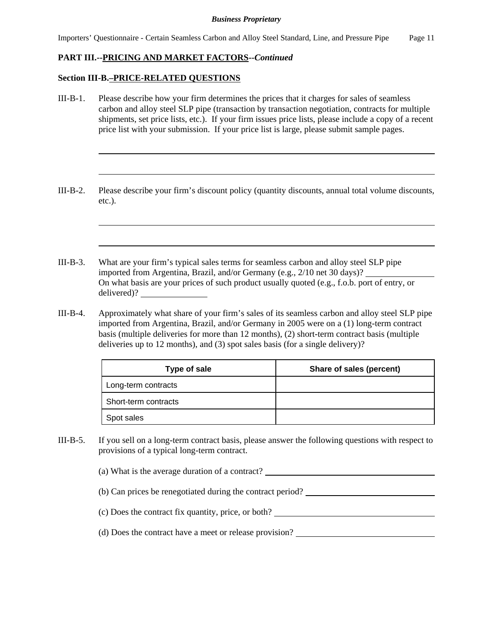## **PART III.--PRICING AND MARKET FACTORS--***Continued*

### **Section III-B.–PRICE-RELATED QUESTIONS**

- III-B-1. Please describe how your firm determines the prices that it charges for sales of seamless carbon and alloy steel SLP pipe (transaction by transaction negotiation, contracts for multiple shipments, set price lists, etc.). If your firm issues price lists, please include a copy of a recent price list with your submission. If your price list is large, please submit sample pages.
- III-B-2. Please describe your firm's discount policy (quantity discounts, annual total volume discounts, etc.).
- III-B-3. What are your firm's typical sales terms for seamless carbon and alloy steel SLP pipe imported from Argentina, Brazil, and/or Germany (e.g., 2/10 net 30 days)? On what basis are your prices of such product usually quoted (e.g., f.o.b. port of entry, or delivered)?
- III-B-4. Approximately what share of your firm's sales of its seamless carbon and alloy steel SLP pipe imported from Argentina, Brazil, and/or Germany in 2005 were on a (1) long-term contract basis (multiple deliveries for more than 12 months), (2) short-term contract basis (multiple deliveries up to 12 months), and (3) spot sales basis (for a single delivery)?

| <b>Type of sale</b>  | Share of sales (percent) |
|----------------------|--------------------------|
| Long-term contracts  |                          |
| Short-term contracts |                          |
| Spot sales           |                          |

III-B-5. If you sell on a long-term contract basis, please answer the following questions with respect to provisions of a typical long-term contract.

(a) What is the average duration of a contract?

(b) Can prices be renegotiated during the contract period?

(c) Does the contract fix quantity, price, or both?

(d) Does the contract have a meet or release provision?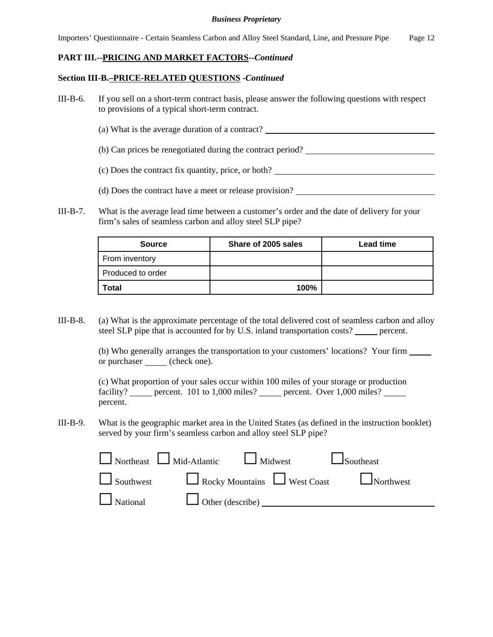Importers' Questionnaire - Certain Seamless Carbon and Alloy Steel Standard, Line, and Pressure Pipe Page 12

## **PART III.--PRICING AND MARKET FACTORS--***Continued*

## **Section III-B.–PRICE-RELATED QUESTIONS -***Continued*

- III-B-6. If you sell on a short-term contract basis, please answer the following questions with respect to provisions of a typical short-term contract.
	- (a) What is the average duration of a contract?
	- (b) Can prices be renegotiated during the contract period?
	- (c) Does the contract fix quantity, price, or both?
	- (d) Does the contract have a meet or release provision?
- III-B-7. What is the average lead time between a customer's order and the date of delivery for your firm's sales of seamless carbon and alloy steel SLP pipe?

| <b>Source</b>     | Share of 2005 sales | Lead time |
|-------------------|---------------------|-----------|
| From inventory    |                     |           |
| Produced to order |                     |           |
| <b>Total</b>      | 100%                |           |

III-B-8. (a) What is the approximate percentage of the total delivered cost of seamless carbon and alloy steel SLP pipe that is accounted for by U.S. inland transportation costs? \_\_\_\_\_ percent.

> (b) Who generally arranges the transportation to your customers' locations? Your firm or purchaser <u>(</u>check one).

|          |  | (c) What proportion of your sales occur within 100 miles of your storage or production  |  |
|----------|--|-----------------------------------------------------------------------------------------|--|
|          |  | facility? _____ percent. $101$ to $1,000$ miles? _____ percent. Over $1,000$ miles? ___ |  |
| percent. |  |                                                                                         |  |

III-B-9. What is the geographic market area in the United States (as defined in the instruction booklet) served by your firm's seamless carbon and alloy steel SLP pipe?

| $\Box$ Northeast $\Box$ Mid-Atlantic $\Box$ Midwest | $\Box$ Southeast                               |
|-----------------------------------------------------|------------------------------------------------|
|                                                     | Southwest Rocky Mountains West Coast Northwest |
| National U Other (describe)                         |                                                |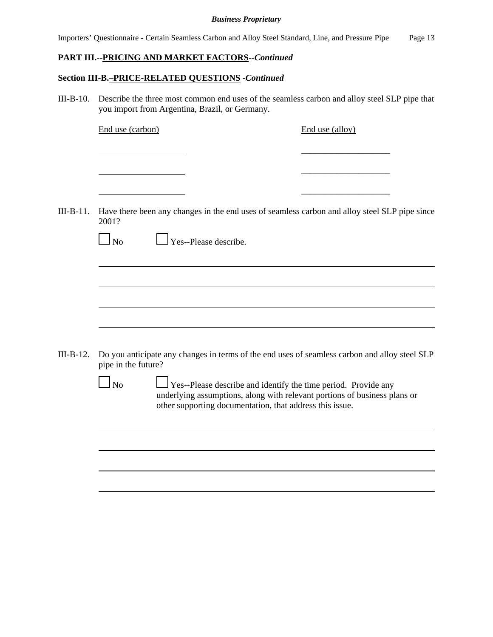|  |  |  |  |  | Importers' Questionnaire - Certain Seamless Carbon and Alloy Steel Standard, Line, and Pressure Pipe |  | Page 13 |
|--|--|--|--|--|------------------------------------------------------------------------------------------------------|--|---------|
|--|--|--|--|--|------------------------------------------------------------------------------------------------------|--|---------|

# **PART III.--PRICING AND MARKET FACTORS--***Continued*

# **Section III-B.–PRICE-RELATED QUESTIONS -***Continued*

III-B-10. Describe the three most common end uses of the seamless carbon and alloy steel SLP pipe that you import from Argentina, Brazil, or Germany.

|             | End use (carbon)    |                                                          | End use (alloy)                                                                                                                             |
|-------------|---------------------|----------------------------------------------------------|---------------------------------------------------------------------------------------------------------------------------------------------|
|             |                     |                                                          |                                                                                                                                             |
| $III-B-11.$ |                     |                                                          | Have there been any changes in the end uses of seamless carbon and alloy steel SLP pipe since                                               |
|             | 2001?               |                                                          |                                                                                                                                             |
|             | $\Box$ No           | $\Box$ Yes--Please describe.                             |                                                                                                                                             |
|             |                     |                                                          |                                                                                                                                             |
|             |                     |                                                          |                                                                                                                                             |
|             |                     |                                                          |                                                                                                                                             |
|             |                     |                                                          |                                                                                                                                             |
| III-B-12.   | pipe in the future? |                                                          | Do you anticipate any changes in terms of the end uses of seamless carbon and alloy steel SLP                                               |
|             | $\log$              | other supporting documentation, that address this issue. | Yes--Please describe and identify the time period. Provide any<br>underlying assumptions, along with relevant portions of business plans or |
|             |                     |                                                          |                                                                                                                                             |
|             |                     |                                                          |                                                                                                                                             |
|             |                     |                                                          |                                                                                                                                             |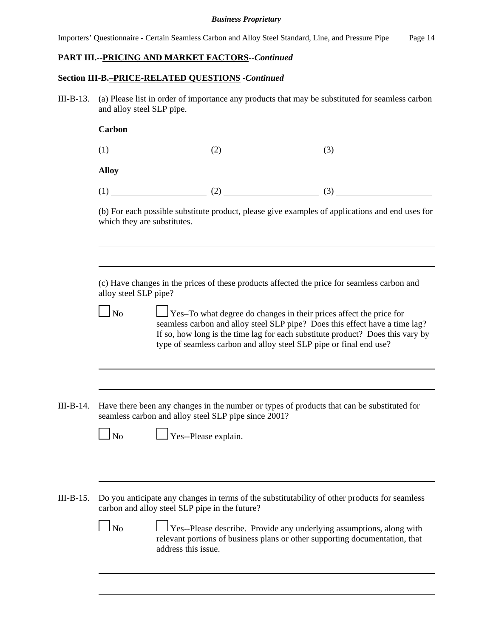Importers' Questionnaire - Certain Seamless Carbon and Alloy Steel Standard, Line, and Pressure Pipe Page 14

## **PART III.--PRICING AND MARKET FACTORS--***Continued*

#### **Section III-B.–PRICE-RELATED QUESTIONS -***Continued*

III-B-13. (a) Please list in order of importance any products that may be substituted for seamless carbon and alloy steel SLP pipe.

#### **Carbon**

| (1)          | (2) | (3) |
|--------------|-----|-----|
| <b>Alloy</b> |     |     |

|--|

(b) For each possible substitute product, please give examples of applications and end uses for which they are substitutes.

(c) Have changes in the prices of these products affected the price for seamless carbon and alloy steel SLP pipe?

|--|

 $\Box$  Yes–To what degree do changes in their prices affect the price for seamless carbon and alloy steel SLP pipe? Does this effect have a time lag? If so, how long is the time lag for each substitute product? Does this vary by type of seamless carbon and alloy steel SLP pipe or final end use?

III-B-14. Have there been any changes in the number or types of products that can be substituted for seamless carbon and alloy steel SLP pipe since 2001?

 $\Box$  No  $\Box$  Yes--Please explain.

III-B-15. Do you anticipate any changes in terms of the substitutability of other products for seamless carbon and alloy steel SLP pipe in the future?

|--|

 $\Box$  Yes--Please describe. Provide any underlying assumptions, along with relevant portions of business plans or other supporting documentation, that address this issue.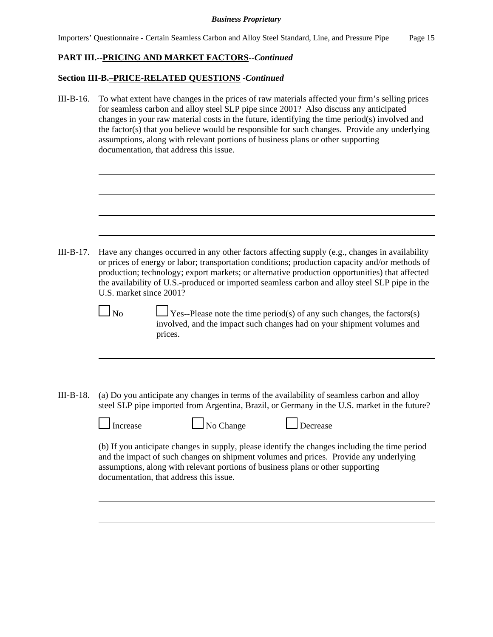# **PART III.--PRICING AND MARKET FACTORS--***Continued*

## **Section III-B.–PRICE-RELATED QUESTIONS -***Continued*

III-B-16. To what extent have changes in the prices of raw materials affected your firm's selling prices for seamless carbon and alloy steel SLP pipe since 2001? Also discuss any anticipated changes in your raw material costs in the future, identifying the time period(s) involved and the factor(s) that you believe would be responsible for such changes. Provide any underlying assumptions, along with relevant portions of business plans or other supporting documentation, that address this issue.

III-B-17. Have any changes occurred in any other factors affecting supply (e.g., changes in availability or prices of energy or labor; transportation conditions; production capacity and/or methods of production; technology; export markets; or alternative production opportunities) that affected the availability of U.S.-produced or imported seamless carbon and alloy steel SLP pipe in the U.S. market since 2001?

|  | ۰. |
|--|----|
|--|----|

 $\Box$  Yes--Please note the time period(s) of any such changes, the factors(s) involved, and the impact such changes had on your shipment volumes and prices.

III-B-18. (a) Do you anticipate any changes in terms of the availability of seamless carbon and alloy steel SLP pipe imported from Argentina, Brazil, or Germany in the U.S. market in the future?

 $\Box$  No Change  $\Box$  Decrease

(b) If you anticipate changes in supply, please identify the changes including the time period and the impact of such changes on shipment volumes and prices. Provide any underlying assumptions, along with relevant portions of business plans or other supporting documentation, that address this issue.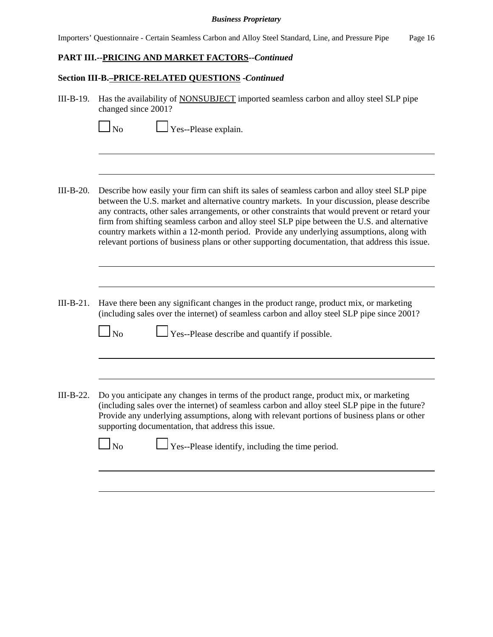Importers' Questionnaire - Certain Seamless Carbon and Alloy Steel Standard, Line, and Pressure Pipe Page 16

## **PART III.--PRICING AND MARKET FACTORS--***Continued*

#### **Section III-B.–PRICE-RELATED QUESTIONS -***Continued*

III-B-19. Has the availability of NONSUBJECT imported seamless carbon and alloy steel SLP pipe changed since 2001?

 $\Box$  Yes--Please explain.

- III-B-20. Describe how easily your firm can shift its sales of seamless carbon and alloy steel SLP pipe between the U.S. market and alternative country markets. In your discussion, please describe any contracts, other sales arrangements, or other constraints that would prevent or retard your firm from shifting seamless carbon and alloy steel SLP pipe between the U.S. and alternative country markets within a 12-month period. Provide any underlying assumptions, along with relevant portions of business plans or other supporting documentation, that address this issue.
- III-B-21. Have there been any significant changes in the product range, product mix, or marketing (including sales over the internet) of seamless carbon and alloy steel SLP pipe since 2001?

 $\Box$  No  $\Box$  Yes--Please describe and quantify if possible.

III-B-22. Do you anticipate any changes in terms of the product range, product mix, or marketing (including sales over the internet) of seamless carbon and alloy steel SLP pipe in the future? Provide any underlying assumptions, along with relevant portions of business plans or other supporting documentation, that address this issue.

No Ses--Please identify, including the time period.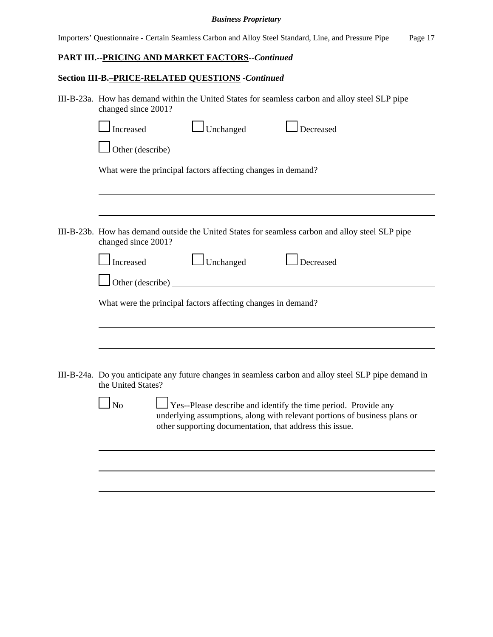Importers' Questionnaire - Certain Seamless Carbon and Alloy Steel Standard, Line, and Pressure Pipe Page 17

# **PART III.--PRICING AND MARKET FACTORS--***Continued*

# **Section III-B.–PRICE-RELATED QUESTIONS -***Continued*

| III-B-23a. How has demand within the United States for seamless carbon and alloy steel SLP pipe<br>changed since 2001?      |                                                                                                                                             |  |  |  |  |  |
|-----------------------------------------------------------------------------------------------------------------------------|---------------------------------------------------------------------------------------------------------------------------------------------|--|--|--|--|--|
| $\Box$ Unchanged<br>Increased<br>Decreased                                                                                  |                                                                                                                                             |  |  |  |  |  |
|                                                                                                                             |                                                                                                                                             |  |  |  |  |  |
| What were the principal factors affecting changes in demand?                                                                |                                                                                                                                             |  |  |  |  |  |
|                                                                                                                             |                                                                                                                                             |  |  |  |  |  |
| III-B-23b. How has demand outside the United States for seamless carbon and alloy steel SLP pipe<br>changed since 2001?     |                                                                                                                                             |  |  |  |  |  |
| $\Box$ Unchanged<br>Increased<br>Decreased                                                                                  |                                                                                                                                             |  |  |  |  |  |
| Other (describe)                                                                                                            |                                                                                                                                             |  |  |  |  |  |
| What were the principal factors affecting changes in demand?                                                                |                                                                                                                                             |  |  |  |  |  |
|                                                                                                                             |                                                                                                                                             |  |  |  |  |  |
| III-B-24a. Do you anticipate any future changes in seamless carbon and alloy steel SLP pipe demand in<br>the United States? |                                                                                                                                             |  |  |  |  |  |
| N <sub>o</sub><br>other supporting documentation, that address this issue.                                                  |                                                                                                                                             |  |  |  |  |  |
|                                                                                                                             |                                                                                                                                             |  |  |  |  |  |
|                                                                                                                             |                                                                                                                                             |  |  |  |  |  |
|                                                                                                                             |                                                                                                                                             |  |  |  |  |  |
|                                                                                                                             | Yes--Please describe and identify the time period. Provide any<br>underlying assumptions, along with relevant portions of business plans or |  |  |  |  |  |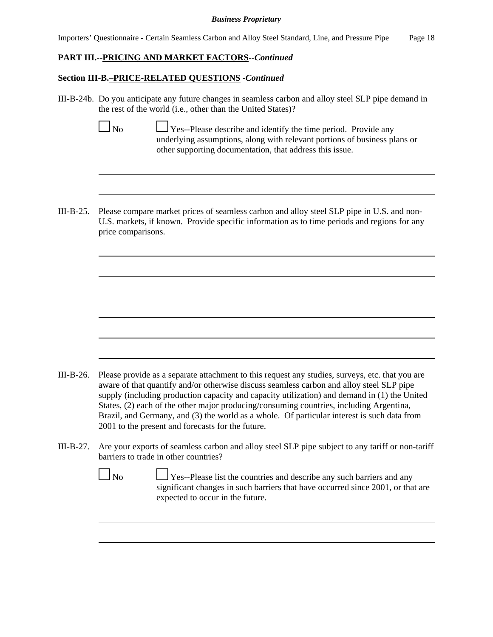Importers' Questionnaire - Certain Seamless Carbon and Alloy Steel Standard, Line, and Pressure Pipe Page 18

## **PART III.--PRICING AND MARKET FACTORS--***Continued*

## **Section III-B.–PRICE-RELATED QUESTIONS -***Continued*

III-B-24b. Do you anticipate any future changes in seamless carbon and alloy steel SLP pipe demand in the rest of the world (i.e., other than the United States)?

|  | ۰. |
|--|----|
|--|----|

 $\Box$  Yes--Please describe and identify the time period. Provide any underlying assumptions, along with relevant portions of business plans or other supporting documentation, that address this issue.

III-B-25. Please compare market prices of seamless carbon and alloy steel SLP pipe in U.S. and non-U.S. markets, if known. Provide specific information as to time periods and regions for any price comparisons.

- III-B-26. Please provide as a separate attachment to this request any studies, surveys, etc. that you are aware of that quantify and/or otherwise discuss seamless carbon and alloy steel SLP pipe supply (including production capacity and capacity utilization) and demand in (1) the United States, (2) each of the other major producing/consuming countries, including Argentina, Brazil, and Germany, and (3) the world as a whole. Of particular interest is such data from 2001 to the present and forecasts for the future.
- III-B-27. Are your exports of seamless carbon and alloy steel SLP pipe subject to any tariff or non-tariff barriers to trade in other countries?
	- $\Box$  No  $\Box$  Yes--Please list the countries and describe any such barriers and any significant changes in such barriers that have occurred since 2001, or that are expected to occur in the future.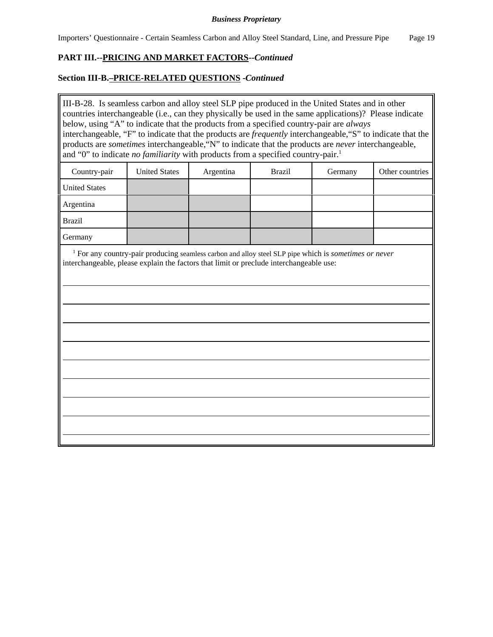# **PART III.--PRICING AND MARKET FACTORS--***Continued*

## **Section III-B.–PRICE-RELATED QUESTIONS -***Continued*

III-B-28. Is seamless carbon and alloy steel SLP pipe produced in the United States and in other countries interchangeable (i.e., can they physically be used in the same applications)? Please indicate below, using "A" to indicate that the products from a specified country-pair are *always* interchangeable, "F" to indicate that the products are *frequently* interchangeable,"S" to indicate that the products are *sometimes* interchangeable,"N" to indicate that the products are *never* interchangeable, and "0" to indicate *no familiarity* with products from a specified country-pair.<sup>1</sup>

| Country-pair         | <b>United States</b> | Argentina | <b>Brazil</b> | Germany | Other countries |
|----------------------|----------------------|-----------|---------------|---------|-----------------|
| <b>United States</b> |                      |           |               |         |                 |
| Argentina            |                      |           |               |         |                 |
| <b>Brazil</b>        |                      |           |               |         |                 |
| Germany              |                      |           |               |         |                 |

<sup>1</sup> For any country-pair producing seamless carbon and alloy steel SLP pipe which is *sometimes or never* interchangeable, please explain the factors that limit or preclude interchangeable use: